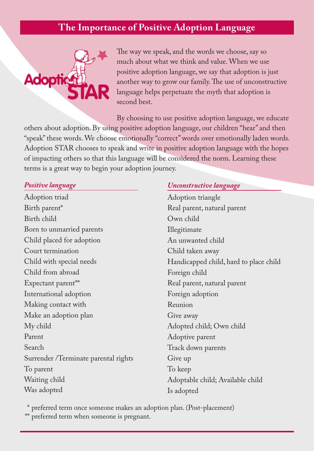## **The Importance of Positive Adoption Language**



The way we speak, and the words we choose, say so much about what we think and value. When we use positive adoption language, we say that adoption is just another way to grow our family. The use of unconstructive language helps perpetuate the myth that adoption is second best.

By choosing to use positive adoption language, we educate others about adoption. By using positive adoption language, our children "hear" and then "speak" these words. We choose emotionally "correct" words over emotionally laden words. Adoption STAR chooses to speak and write in positive adoption language with the hopes of impacting others so that this language will be considered the norm. Learning these terms is a great way to begin your adoption journey.

#### *Positive language*

Adoption triad Birth parent\* Birth child Born to unmarried parents Child placed for adoption Court termination Child with special needs Child from abroad Expectant parent\*\* International adoption Making contact with Make an adoption plan My child Parent Search Surrender /Terminate parental rights To parent Waiting child Was adopted

### *Unconstructive language*

Adoption triangle Real parent, natural parent Own child Illegitimate An unwanted child Child taken away Handicapped child, hard to place child Foreign child Real parent, natural parent Foreign adoption Reunion Give away Adopted child; Own child Adoptive parent Track down parents Give up To keep Adoptable child; Available child Is adopted

\* preferred term once someone makes an adoption plan. (Post-placement)

\*\* preferred term when someone is pregnant.